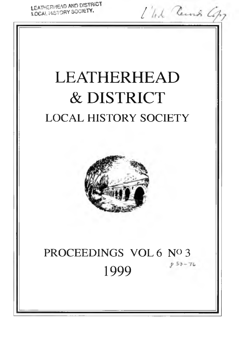LEATHERHEAD AND DISTRICT LEATHERINEAD AND DISTRICT.<br>LOCAL HISTORY SOCIETY. *<sup>1</sup>/<sub>1</sub>/<sub>1</sub>/ Learns Copy* 

# LEATHERHEAD & DISTRICT LOCAL HISTORY SOCIETY



## PROCEEDINGS VOL 6 Nº 3 *p*  $53 - 76$ 1999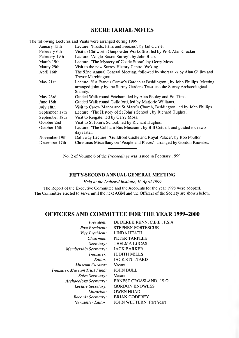## **SECRETARIAL NOTES**

The following Lectures and Visits were arranged during 1999:

| January 15th   | Lecture: 'Frosts, Fairs and Freezes', by Ian Currie.                                                                                                         |
|----------------|--------------------------------------------------------------------------------------------------------------------------------------------------------------|
| February 6th   | Visit to Chilworth Gunpowder Works Site, led by Prof. Alan Crocker                                                                                           |
| February 19th  | Lecture: 'Anglo-Saxon Surrey', by John Blair.                                                                                                                |
| March 19th     | Lecture: 'The Mystery of Coade Stone', by Gerry Moss.                                                                                                        |
| Marcy 29th     | Visit to the new Surrey History Centre, Woking.                                                                                                              |
| April 16th     | The 52nd Annual General Meeting, followed by short talks by Alan Gillies and                                                                                 |
|                | Trevor Marchington.                                                                                                                                          |
| May 21st       | Lecture: 'Sir Francis Carew's Garden at Beddington', by John Phillips. Meeting<br>arranged jointly by the Surrey Gardens Trust and the Surrey Archaeological |
|                | Society.                                                                                                                                                     |
| May 23rd       | Guided Walk round Fetcham, led by Alan Pooley and Ed. Tims.                                                                                                  |
| June 18th      | Guided Walk round Guildford, led by Marjorie Williams.                                                                                                       |
| July 18th      | Visit to Carew Manor and St Mary's Church, Beddington, led by John Phillips.                                                                                 |
| September 17th | Lecture: 'The History of St John's School', by Richard Hughes.                                                                                               |
| September 18th | Visit to Reigate, led by Gerry Moss.                                                                                                                         |
| October 2nd    | Visit to St John's School, led by Richard Hughes.                                                                                                            |
| October 15th   | Lecture: 'The Cobham Bus Museum', by Bill Cottrill, and guided tour two<br>days later.                                                                       |
| November 19th  | Dallaway Lecture: 'Guildford Castle and Royal Palace', by Rob Poulton.                                                                                       |
| December 17th  | Christmas Miscellany on 'People and Places', arranged by Gordon Knowles.                                                                                     |
|                |                                                                                                                                                              |

No. 2 of Volume 6 of the *Proceedings* was issued in February 1999.

## **FIFTY-SECOND ANNUAL GENERAL MEETING**

*Held at the Lethered Institute, 16 April 1999*

The Report of the Executive Committee and the Accounts for the year 1998 were adopted. The Committee elected to serve until the next AGM and the Officers of the Society are shown below.

## **OFFICERS AND COMMITTEE FOR THE YEAR 1999-2000**

| DR DEREK RENN, C.B.E., F.S.A.   |
|---------------------------------|
| <b>STEPHEN FORTESCUE</b>        |
| LINDA HEATH                     |
| PETER TARPLEE                   |
| <b>THELMA LUCAS</b>             |
| <b>JACK BARKER</b>              |
| <b>JUDITH MILLS</b>             |
| <b>JACK STUTTARD</b>            |
| Vacant                          |
| <b>JOHN BULL</b>                |
| Vacant                          |
| ERNEST CROSSLAND, I.S.O.        |
| <b>GORDON KNOWLES</b>           |
| <b>GWEN HOAD</b>                |
| <b>BRIAN GODFREY</b>            |
| <b>JOHN WETTERN (Part Year)</b> |
|                                 |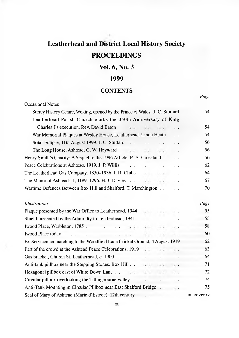# **Leatherhead and District Local History Society PROCEEDINGS**

## **Vol. 6, No. 3**

## **1999**

## **CONTENTS**

*Page*

| <b>Occasional Notes</b>                                                              |           |                      |                      |             |
|--------------------------------------------------------------------------------------|-----------|----------------------|----------------------|-------------|
| Surrey History Centre, Woking, opened by the Prince of Wales. J. C. Stuttard         |           |                      |                      | 54          |
| Leatherhead Parish Church marks the 350th Anniversary of King                        |           |                      |                      |             |
| Charles I's execution. Rev. David Eaton<br>$\mathbf{z}$                              |           | $\cdots$             | $\ddot{\phantom{0}}$ | 54          |
| War Memorial Plaques at Wesley House, Leatherhead. Linda Heath                       |           |                      | $\ddot{\phantom{1}}$ | 54          |
| Solar Eclipse, 11th August 1999. J. C. Stuttard                                      |           | $\sim$ $\sim$ $\sim$ | $\ddotsc$            | 56          |
| The Long House, Ashtead. G. W. Hayward                                               |           |                      | $\ddotsc$            | 56          |
| Henry Smith's Charity: A Sequel to the 1996 Article. E. A. Crossland                 |           |                      | $\ddot{\phantom{0}}$ | 56          |
| Peace Celebrations at Ashtead, 1919. J. P. Willis<br>$\mathbf{L}^{\mathbf{r}}$       |           |                      | $\ddotsc$            | 62          |
| The Leatherhead Gas Company, 1850–1936. J. R. Clube                                  |           | $4.4 - 4.4$          | $\ddotsc$            | 64          |
| The Manor of Ashtead: II, $1189-1296$ . H. J. Davies $\ldots$                        |           |                      | $\ddot{\phantom{a}}$ | 67          |
| Wartime Defences Between Box Hill and Shalford. T. Marchington                       |           |                      |                      | 70          |
| <b>Illustrations</b>                                                                 |           |                      |                      | Page        |
| Plaque presented by the War Office to Leatherhead, 1944                              |           |                      |                      | 55          |
| Shield presented by the Admiralty to Leatherhead, 1941                               |           |                      |                      | 55          |
|                                                                                      | $\cdot$ . |                      |                      | 58          |
| $\sim 10^{-10}$ , $\sim 10^{-10}$<br>Iwood Place today<br>and the state of the state | $\cdots$  |                      |                      | 60          |
| Ex-Servicemen marching to the Woodfield Lane Cricket Ground, 4 August 1919           |           |                      |                      | 62          |
| Part of the crowd at the Ashtead Peace Celebrations, 1919                            |           |                      |                      | 63          |
|                                                                                      |           |                      |                      | 64          |
|                                                                                      |           |                      |                      | 71          |
|                                                                                      |           |                      |                      | 72          |
| Circular pillbox overlooking the Tillingbourne valley                                |           |                      |                      | 74          |
|                                                                                      |           |                      |                      | 75          |
| Seal of Mary of Ashtead (Marie d'Estede), 12th century                               |           | $\cdots$ $\cdots$    |                      | on cover iv |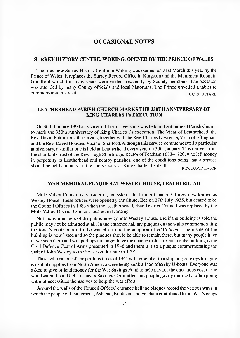## **OCCASIONAL NOTES**

## **SURREY HISTORY CENTRE, WOKING, OPENED BY THE PRINCE OF WALES**

The fine, new Surrey History Centre in Woking was opened on 31st March this year by the Prince of Wales. It replaces the Surrey Record Office in Kingston and the Muniment Room in Guildford which for many years were visited frequently by Society members. The occasion was attended by many County officials and local historians. The Prince unveiled a tablet to commemorate his visit.  $\qquad \qquad$  i. C. STUTTARD

## **LEATHERHEAD PARISH CHURCH MARKS THE 350TH ANNIVERSARY OF KING CHARLES I's EXECUTION**

On 30th January 1999 a service of Choral Evensong was held in Leatherhead Parish Church to mark the 350th Anniversary of King Charles I's execution. The Vicar of Leatherhead, the Rev. David Eaton, took the service, together with the Rev. Charles Lawrence, Vicar of Effingham and the Rev. David Hobden, Vicar of Shalford. Although this service commemorated a particular anniversary, a similar one is held at Leatherhead every year on 30th January. This derives from the charitable trust of the Rev. Hugh Shortridge, Rector of Fetcham 1683-1720, who left money in perpetuity to Leatherhead and nearby parishes, one of the conditions being that a service should be held annually on the anniversary of King Charles I's death.

## **WAR MEMORAL PLAQUES AT WESLEY HOUSE, LEATHERHEAD**

Mole Valley Council is considering the sale of the former Council Offices, now known as Wesley House. These offices were opened y Mr Chuter Ede on 27th July 1935, but ceased to be the Council Offices in 1983 when the Leatherhead Urban District Council was replaced by the Mole Valley District Council, located in Dorking.

Not many members of the public now go into Wesley House, and if the building is sold the public may not be admitted at all. In the entrance hall are plaques on the walls commemorating the town's contribution to the war effort and the adoption of *HMS Scout*. The inside of the building is now listed and so the plaques should be able to remain there, but many people have never seen them and will perhaps no longer have the chance to do so. Outside the building is the Civil Defence Coat of Arms presented in 1946 and there is also a plaque commemorating the visit of John Wesley to the house on this site in 1791.

Those who can recall the perilous times of 1941 will remember that shipping convoys bringing essential supplies from North America were being sunk all too often by U-boats. Everyone was asked to give or lend money for the War Savings Fund to help pay for the enormous cost of the war. Leatherhead UDC formed a Savings Committee and people gave generously, often going without necessities themselves to help the war effort.

Around the walls of the Council Offices' entrance hall the plaques record the various ways in which the people of Leatherhead, Ashtead, Bookham and Fetcham contributed to the War Savings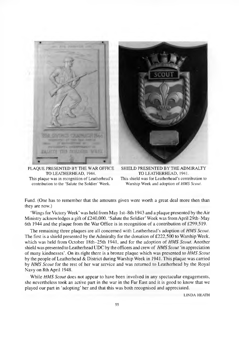

PLAOUE PRESENTED BY THE WAR OFFICE TO LEATHERHEAD, 1944. This plaque was in recognition of Leatherhead's

contribution to the 'Salute the Soldier' Week.



SHIELD PRESENTED BY THE ADMIRALTY TO LEATHERHEAD, 1941. This shield was for Leatherhead's contribution to Warship Week and adoption of *HMS Scout*.

Fund. (One has to remember that the amounts given were worth a great deal more then than they are now.)

'Wings for Victory Week' was held from May 1st-8th 1943 and a plaque presented by the Air Ministry acknowledges a gift of £240,000. 'Salute the Soldier' Week was from April 29th-May 6th 1944 and the plaque from the War Office is in recognition of a contribution of  $£299,519$ .

The remaining three plaques are all concerned with Leatherhead's adoption of *HM S Scout.* The first is a shield presented by the Admiralty for the donation of  $£222,500$  to Warship Week, which was held from October 18th-25th 1941, and for the adoption of *HMS Scout*. Another shield was presented to Leatherhead UDC by the officers and crew of *HMS Scout* 'in appreciation of many kindnesses'. On its right there is a bronze plaque which was presented to *HMS Scout* by the people of Leatherhead & District during Warship Week in 1941. This plaque was carried by *HMS Scout* for the rest of her war service and was returned to Leatherhead by the Royal Navy on 8th April 1948.

While *HMS Scout* does not appear to have been involved in any spectacular engagements, she nevertheless took an active part in the war in the Far East and it is good to know that we played our part in 'adopting' her and that this was both recognised and appreciated.

LINDA HEATH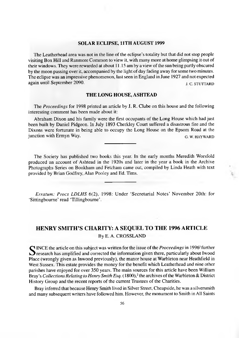## **SOLAR ECLIPSE, 11TH AUGUST 1999**

The Leatherhead area was not in the line of the eclipse's totality but that did not stop people visiting Box Hill and Ranmore Common to view it, with many more at home glimpsing it out of their windows. They were rewarded at about 11.15 am by a view of the sun being partly obscured by the moon passing over it, accompanied by the light of day fading away for some two minutes. The eclipse was an impressive phenomenon, last seen in England in June 1927 and not expected again until September 2090. j.c. STUTTARD

#### **THE LONG HOUSE, ASHTEAD**

The *Proceedings* for 1998 printed an article by J. R. Clube on this house and the following interesting comment has been made about it:

Abraham Dixon and his family were the first occupants of the Long House which had just been built by Daniel Pidgeon. In July 1893 Cherkley Court suffered a disastrous fire and the Dixons were fortunate in being able to occupy the Long House on the Epsom Road at the junction with Ermyn Way. G w. HAYWARD

The Society has published two books this year. In the early months Meredith Worsfold produced an account of A shtead in the 1920s and later in the year a book in the Archive Photographs Series on Bookham and Fetcham came out, compiled by Linda Heath with text provided by Brian Godfrey, Alan Pooley and Ed. Tims.

*Erratum: Procs LDLHS* 6(2), 1998: Under 'Secretarial Notes' November 20th: for 'Sittingbourne' read 'Tillingbourne'.

## **HENRY SMITH'S CHARITY: A SEQUEL TO THE 1996 ARTICLE** By E. A. CROSSLAND

S<br>
Figure 1996 Further<br> **S** research has amplified and corrected the information given there, particularly about Iwood<br>
Place (wrongly given as Inwood previously), the manor house at Warbleton near Heathfield in INCE the article on this subject was written for the issue of the *Proceedings* in 1996' further Place (wrongly given as Inwood previously), the manor house at Warbleton near Heathfield in West Sussex. This estate provides the money for the benefit which Leatherhead and nine other parishes have enjoyed for over 350 years. The main sources for this article have been William Bray's *Collections Relating to Henry Smith Esq.* (1800),<sup>2</sup> the archives of the Warbleton & District History Group and the recent reports of the current Trustees of the Charities.

Bray inferred that because Henry Smith lived in Silver Street, Cheapside, he was a silversmith and many subsequent writers have followed him. However, the monument to Smith in All Saints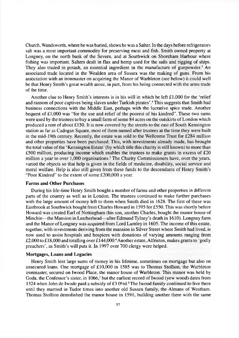Church, Wandsworth, where he was buried, shows he was a Salter. In the days before refrigerators salt was a most important commodity for preserving meat and fish. Smith owned property at Longney, on the north bank of the Severn, and at Southwick on Shoreham Harbour where fishing was important. Salters dealt in flax and hemp used for the sails and rigging of ships. They also traded in potash, an essential ingredient in the manufacture of gunpowder.<sup>3</sup> An associated trade located in the Wealden area of Sussex was the making of guns. From his association with an ironmaster on acquiring the Manor of Warbleton (see below) it could well be that Henry Smith's great wealth arose, in part, from his being connected with the arms trade of the time.

Another clue to Henry Smith's interests is in his will in which he left  $\pounds1,000$  for the 'relief and ransom of poor captives being slaves under Turkish pirates'.<sup>4</sup> This suggests that Smith had business connections with the Middle East, perhaps with the lucrative spice trade. Another bequest of  $£1,000$  was "for the use and relief of the poorest of his kindred". These two sums were used by the trustees to buy a small farm of some 84 acres on the outskirts of London which produced a rent of about  $£150$ . It is now covered by the streets to the east of South Kensington station as far as Cadogan Square, most of them named after trustees at the time they were built in the mid-19th century. Recently, the estate was sold to the Wellcome Trust for £284 million and other properties have been purchased. This, with investments already made, has brought the total value of the 'Kensington Estate' (by which title this charity is still known) to more than £500 million, producing income which enables the trustees to make grants in excess of  $£20$ million a year to over 1,000 organisations.<sup>5</sup> The Charity Commissioners have, over the years, varied the objects so that help is given in the fields of medicine, disability, social service and moral welfare. Help is also still given from these funds to the descendants of Henry Smith's "Poor Kindred" to the extent of some £200,000 a year.

## **Farms and Other Purchases**

During his life-time Henry Smith bought a number of farms and other properties in different parts of the country as well as in London. The trustees continued to make further purchases with the large amount of money left to them when Smith died in 1628. The first of these was Eastbrook at Southwick bought from Charles Howard in 1595 for £550. This was shortly before Howard was created Earl of Nottingham (his son, another Charles, bought the manor house of Minchin— the Mansion in Leatherhead— after Edmund Tylney's death in 1610). Longney farm and the Manor of Longney was acquired from Lord Lumley in 1605. The income of this estate, together, with investments deriving from the mansion in Silver Street where Smith had lived, is now used to assist hospitals and hospices with donations of varying amounts ranging from £2,000 to £18,000 and totalling over £144,000.<sup>6</sup> Another estate, Alfriston, makes grants to 'godly preachers', as Smith's will puts it. In 1997 over 700 clergy were helped.

#### **Mortgages, Loans and Legacies**

Henry Smith lent large sums of money in his lifetime, sometimes on mortgage but also on unsecured loans. One mortgage of £10,000 in 1585 was to Thomas Stollion, the Warbleton ironmaster, secured on Iwood Place, the manor house of Warbleton. This manor was held by Goda, the Confessor's sister, in 1066,<sup>7</sup> but the earliest record of Iwood (yew wood) dates from 1324 when John de Iwode paid a subsidy of £3  $0\frac{\text{d}}{2}$  The Iwood family continued to live there until they married in Tudor times into another old Sussex family, the Almans of Westham. Thomas Stollion demolished the manor house in 1591, building another there with the same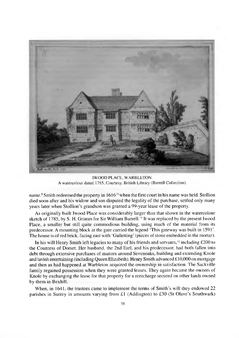

IWOOD PLACE, WARBLETON. A watercolour dated 1785. Courtesy, British Library (Burrell Collection).

name.<sup>9</sup> Smith redeemed the property in 1616<sup>10</sup> when the first court in his name was held. Stollion died soon after and his widow and son disputed the legality of the purchase, settled only many years later when Stollion's grandson was granted a 99-year lease of the property.

As originally built Iwood Place was considerably larger than that shown in the watercolour sketch of 1785, by S. H. Grimm for Sir William Burrell.<sup>11</sup> It was replaced by the present Iwood Place, a smaller but still quite commodious building, using much of the material from its predecessor. A mounting block at the gate carried the legend 'This gateway was built in 1591'. The house is of red brick, facing east with 'Galletting' (pieces of stone embedded in the mortar).

In his will Henry Smith left legacies to many of his friends and servants, $12$  including £200 to the Countess of Dorset. Her husband, the 2nd Earl, and his predecessor, had both fallen into debt through extensive purchases of manors around Sevenoaks, building and extending Knole and lavish entertaining (including Queen Elizabeth). Henry Smith advanced  $\pounds 10,000$  on mortgage and then as had happened at Warbleton acquired the ownership in satisfaction. The Sackville family regained possession when they were granted leases. They again became the owners of Knole by exchanging the lease for that property for a rentcharge secured on other lands owned by them in Bexhill.

When, in 1641, the trustees came to implement the terms of Smith's will they endowed 22 parishes in Surrey in amounts varying from £1 (Addington) to £30 (St Olave's Southwark)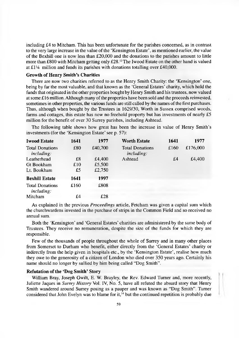including £4 to Mitcham. This has been unfortunate for the parishes concerned, as in contrast to the very large increase in the value of the 'Kensington Estate', as mentioned earlier, the value of the Bexhill one is now less than £20,000 and the donations to the parishes amount to little more than £800 with Mitcham getting only £28.<sup>13</sup> The Iwood Estate on the other hand is valued at  $£1\frac{1}{4}$  million and funds its parishes with donations totalling over £40,000.

## **Growth of Henry Smith's Charities**

There are now two charities referred to as the Henry Smith Charity: the 'Kensington' one, being by far the most valuable, and that known as the 'General Estates' charity, which hold the funds that originated in the other properties bought by Henry Smith and his trustees, now valued at some  $\pounds 16$  million. Although many of the properties have been sold and the proceeds reinvested, sometimes in other properties, the various funds are still called by the names of the first purchases. Thus, although when bought by the Trustees in 1629/30, Worth in Sussex comprised woods, farms and cottages, this estate has now no freehold property but has investments of nearly £5 million for the benefit of over 30 Surrey parishes, including Ashtead.

The following table shows how great has been the increase in value of Henry Smith's investments (for the 'Kensington Estate' see p. 57):

| <b>Iwood Estate</b>                         | 1641 | 1977    | <b>Worth Estate</b>                  | 1641 | 1977     |
|---------------------------------------------|------|---------|--------------------------------------|------|----------|
| <b>Total Donations</b><br><i>including:</i> | £80  | £40,700 | <b>Total Donations</b><br>including: | £160 | £176,000 |
| Leatherhead                                 | £8   | £4.400  | Ashtead                              | £4   | £4,400   |
| Gt Bookham                                  | £10  | £5,500  |                                      |      |          |
| Lt. Bookham                                 | £5   | £2,750  |                                      |      |          |
| <b>Bexhill Estate</b>                       | 1641 | 1997    |                                      |      |          |
| <b>Total Donations</b><br>including:        | £160 | £808    |                                      |      |          |
| Mitcham                                     | £4   | £28     |                                      |      |          |

As explained in the previous *Proceedings* article, Fetcham was given a capital sum which the churchwardens invested in the purchase of strips in the Common Field and so received no annual sum.

Both the 'Kensington' and 'General Estates' charities are administered by the same body of Trustees. They receive no remuneration, despite the size of the funds for which they are responsible.

Few of the thousands of people throughout the whole of Surrey and in many other places from Somerset to Durham who benefit, either directly from the 'General Estates' charity or indirectly from the help given in hospitals etc., by the 'Kensington Estate', realise how much they owe to the generosity of a citizen of London who died over 350 years ago. Certainly his name should no longer by sullied by him being called "Dog Smith" .

## **Refutation of the 'Dog Smith' Story**

William Bray, Joseph Gwilt, E. W. Brayley, the Rev. Edward Turner and, more recently, Juliette Jaques in *Surrey History* Vol. IV, No. 5, have all refuted the absurd story that Henry Smith wandered around Surrey posing as a pauper and was known as "Dog Smith". Turner considered that John Evelyn was to blame for it,<sup>14</sup> but the continued repetition is probably due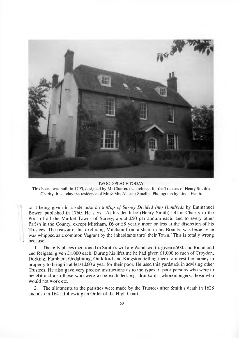

#### IW OOD PLACE TODAY.

This house was built in 1795, designed by Mr Clutton, the architect for the Trustees of Henry Smith's Charity. It is today the residence of Mr & Mrs Alastair Smellie. Photograph by Linda Heath.

to it being given in a side note on a Map of Surrey Divided Into Hundreds by Emmanuel Bowen published in 1760. He says, 'At his death he (Henry Smith) left in Charity to the Poor of all the Market Towns of Surrey, about £50 per annum each, and to every other Parish in the County, except Mitcham, £6 or £8 yearly more or less at the discretion of his Trustees. The reason of his excluding Mitcham from a share in his Bounty, was because he was whipped as a common Vagrant by the inhabitants thro' their Town.' This is totally wrong *i* because:

1. The only places mentioned in Smith's will are Wandsworth, given £500, and Richmond and Reigate, given £1,000 each. During his lifetime he had given £1,000 to each of Croydon, Dorking, Farnham, Godalming, Guildford and Kingston, telling them to invest the money in property to bring in at least £60 a year for their poor. He used this yardstick in advising other Trustees. He also gave very precise instructions as to the types of poor persons who were to benefit and also those who were to be excluded, e.g. drunkards, whoremongers, those who would not work etc.

2. The allotments to the parishes were made by the Trustees after Smith's death in 1628 and also in 1641, following an Order of the High Court.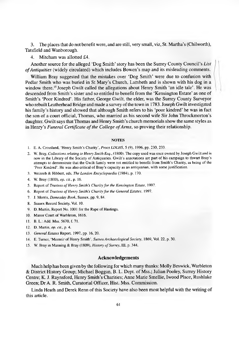3. The places that do not benefit were, and are still, very small, viz, St. Martha's (Chilworth), Tatsfield and Wanborough.

4. Mitcham was allotted £4.

Another source for the alleged 'Dog Smith' story has been the Surrey County Council's *List of Antiquities* (widely circulated) which includes Bowen's map and its misleading comments.

William Bray suggested that the mistakes over 'Dog Smith' were due to confusion with Pedlar Smith who was buried in St Mary's Church, Lambeth and is shown with his dog in a window there.<sup>15</sup> Joseph Gwilt called the allegations about Henry Smith 'an idle tale'. He was descended from Smith's sister and so entitled to benefit from the 'Kensington Estate' as one of Smith's 'Poor Kindred'. His father, George Gwilt, the elder, was the Surrey County Surveyor who rebuilt Leatherhead Bridge and made a survey of the town in 1783. Joseph Gwilt investigated his family's history and showed that although Smith refers to his 'poor kindred' he was in fact the son of a court official, Thomas, who married as his second wife Sir John Throckmorton's daughter. Gwilt says that Thomas and Henry Smith's church memorials show the same styles as in Henry's *Funeral Certificate of the College of Arms*, so proving their relationship.

#### **NOTES**

- 1. E. A. Crossland, 'Henry Smith's Charity', *Procs LDLHS,* 5 (9), 1996, pp. 230, 233.
- 2. W. Bray, *Collections relating to Henry Smith Esq.,* (1800). The copy used was once owned by Joseph Gwilt and is now in the Library of the Society of Antiquaries. Gwilt's annotations are part of his campaign to thwart Bray's attempts to demonstrate that the Gwilt family were not entitled to benefit from Smith's Charity, as being of the 'Poor Kindred'. He was also critical of Bray's capacity as an antiquarian, with some justification.
- 3. Weinreb & Hibbert, eds. *The London Encyclopaedia* (1984), p. 170.
- 4. W. Bray (1800), *op. cit.,* p. 16.
- 5. Report of *Trustees of Henry Smith's Charity for the Kensington Estate*, 1997.
- 6. Report of *Trustees of Henry Smith's Charity for the General Estates,* 1997.
- 7. J. Morris, *Domesday Book,* Sussex, pp. 9, 84.
- 8. Sussex Record Society, Vol. 10.
- 9. D. Martin, Report No. 1001 for the Rape of Hastings.
- 10. Manor Court of Warbleton, 1616.
- 11. B.L.:Add. Mss. 5670, f. 71.
- 12. D. Martin, *op. cit.,* p. 4.
- 13. *General Estates* Report, 1997, pp. 16, 20.
- 14. E. Turner, 'Memoir of Henry Smith', *Sussex Archaeological Society,* 1869, Vol. 22, p. 30.
- 15. W. Bray in Manning & Bray (1809), *History of Surrey,* III, p. 344.

### **Acknowledgements**

Much help has been given by the following for which many thanks: Molly Beswick, Warbleton & District History Group; Michael Boggan, B. L. Dept. of Mss.; Julian Pooley, Surrey History Centre; K. J. Raynsford, Henry Smith's Charities; Anne Marie Smellie, Iwood Place, Rushlake Green; Dr A. R. Smith, Curatorial Officer, Hist. Mss. Commission.

Linda Heath and Derek Renn of this Society have also been most helpful with the writing of this article.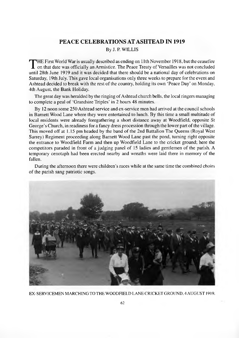## **PEACE CELEBRATIONS AT ASHTEAD IN 1919**

By J. P. WILLIS

THE First World War is usually described as ending on 11th November 1918, but the ceasefire<br>
on that date was officially an Armistice. The Peace Treaty of Versailles was not concluded<br>
until 28th June 1919 and it was decid on that date was officially an Armistice. The Peace Treaty of Versailles was not concluded until 28th June 1919 and it was decided that there should be a national day of celebrations on Saturday, 19th July. This gave local organisations only three weeks to prepare for the event and Ashtead decided to break with the rest of the country, holding its own 'Peace Day' on Monday, 4th August, the Bank Holiday.

The great day was heralded by the ringing of Ashtead church bells, the local ringers managing to complete a peal of 'Grandsire Triples' in 2 hours 48 minutes.

By 12 noon some 250 Ashtead service and ex-service men had arrived at the council schools in Barnett Wood Lane where they were entertained to lunch. By this time a small multitude of local residents were already foregathering a short distance away at Woodfield, opposite St George's Church, in readiness for a fancy dress procession through the lower part of the village. This moved off at 1.15 pm headed by the band of the 2nd Battalion The Queens (Royal West Surrey) Regiment proceeding along Barnett Wood Lane past the pond, turning right opposite the entrance to Woodfield Farm and then up Woodfield Lane to the cricket ground; here the competitors paraded in front of a judging panel of 15 ladies and gentlemen of the parish. A temporary cenotaph had been erected nearby and wreaths were laid there in memory of the fallen.

During the afternoon there were children's races while at the same time the combined choirs of the parish sang patriotic songs.



EX-SERVICEMEN MARCHING TO THE WOODFIELD LANE CRICKET GROUND. 4 AUGUST 1919.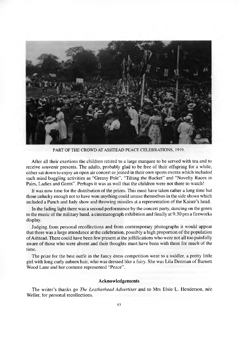

PART OF THE CROWD AT ASHTEAD PEACE CELEBRATIONS, 1919.

After all their exertions the children retired to a large marquee to be served with tea and to receive souvenir presents. The adults, probably glad to be free of their offspring for a while, either sat down to enjoy an open air concert or joined in their own sports events which included such mind boggling activities as "Greasy Pole", "Tilting the Bucket" and "Novelty Races in Pairs, Ladies and Gents". Perhaps it was as well that the children were not there to watch!

It was now time for the distribution of the prizes. This must have taken rather a long time but those unlucky enough not to have won anything could amuse themselves in the side shows which included a Punch and Judy show and throwing missiles at a representation of the Kaiser's head.

In the fading light there was a second performance by the concert party, dancing on the green to the music of the military band, a cinematograph exhibition and finally at 9.30 pm a fireworks display.

Judging from personal recollections and from contemporary photographs it would appear that there was a large attendance at the celebration, possibly a high proportion of the population of Ashtead. There could have been few present at the jollifications who were not all too painfully aware of those who were absent and their thoughts must have been with them for much of the time.

The prize for the best outfit in the fancy dress competition went to a toddler, a pretty little girl with long curly auburn hair, who was dressed like a fairy. She was Lila Denman of Barnett Wood Lane and her costume represented "Peace".

#### **Acknowledgements**

The w riter's thanks go *The Leatherhead Advertiser* and to Mrs Elsie L. Henderson, nee Weller, for personal recollections.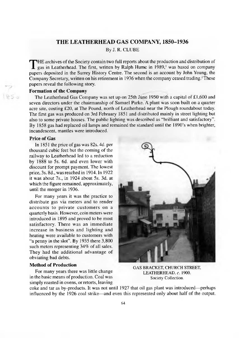## **THE LEATHERHEAD GAS COMPANY, 1850-1936**

By J. R. CLUBE

THE archives of the Society contain two full reports about the production and distribution of gas in Leatherhead. The first, written by Ralph Hume in 1989,<sup>1</sup> was based on company papers deposited in the Surrey History Cen HE archives of the Society contain two full reports about the production and distribution of gas in Leatherhead. The first, written by Ralph Hume in 1989,' was based on company Company Secretary, written on his retirement in 1936 when the company ceased trading.<sup>2</sup>These papers reveal the following story.

## **Formation of the Company**

The Leatherhead Gas Company was set up on 25th June 1950 with a capital of £1,600 and seven directors under the chairmanship of Samuel Parke. A plant was soon built on a quarter acre site, costing £20, at The Pound, north of Leatherhead near the Plough roundabout today. The first gas was produced on 3rd February 1851 and distributed mainly in street lighting but also to some private houses. The public lighting was described as "brilliant and satisfactory". By 1858 gas had replaced oil lamps and remained the standard until the 1890's when brighter, incandescent, mantles were introduced.

## **Price of Gas**

In 1851 the price of gas was 82s. 4d. per thousand cubic feet but the coming of the railway to Leatherhead led to a reduction by 1888 to 5s. 6d. and even lower with discount for prompt payment. The lowest price, 3s. 8d., was reached in 1914. In 1922 it was about 7s., in 1924 about 5s. 3d. at which the figure remained, approximately, until the merger in 1936.

For many years it was the practice to distribute gas via meters and to render accounts to private customers on a quarterly basis. However, coin meters were introduced in 1895 and proved to be most satisfactory. There was an immediate increase in business and lighting and heating were available to customers with "a penny in the slot". By 1935 there 3,800 such meters representing 34% of all sales. They had the additional advantage of obviating bad debts.

### **Method of Production**

For many years there was little change in the basic means of production. Coal was simply roasted in ovens, or retorts, leaving



GAS BRACKET, CHURCH STREET, LEATHERHEAD, c. 1900. Society Collection.

coke and tar as by-products. It was not until 1927 that oil gas plant was introduced— perhaps influenced by the 1926 coal strike— and even this represented only about half of the output.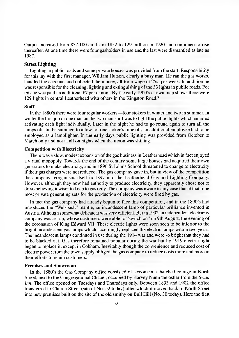Output increased from 837,100 cu. ft. in 1852 to 129 million in 1920 and continued to rise thereafter. At one time there were four gasholders in use and the last were dismantled as late as 1987.

## **Street Lighting**

Lighting in public roads and some private houses was provided from the start. Responsibility for this lay with the first manager, William Hutson, clearly a busy man. He ran the gas works, handled the accounts and collected the money, all for a wage of 25s. per week. In addition he was responsible for the cleaning, lighting and extinguishing of the 33 lights in public roads. For this he was paid an additional £7 per annum. By the early 1900's a town map shows there were 129 lights in central Leatherhead with others in the Kingston Road.3

## **Staff**

In the 1880's there were four regular workers— four stokers in winter and two in summer. In winter the first job of one man on the two man shift was to light the public lights which entailed activating each light individually. Later in the night he had to go round again to turn all the lamps off. In the summer, to allow for one stoker's time off, an additional employee had to be employed as a lamplighter. In the early days public lighting was provided from October to March only and not at all on nights when the moon was shining.

## **Competition with Electricity**

There was a slow, modest expansion of the gas business in Leatherhead which in fact enjoyed a virtual monopoly. Towards the end of the century some large houses had acquired their own generators to make electricity, and in 1896 St John's School threatened to change to electricity if their gas charges were not reduced. The gas company gave in, but in view of the competition the company reorganised itself in 1897 into the Leatherhead Gas and Lighting Company. However, although they now had authority to produce electricity, they apparently chose not to do so believing it wiser to keep to gas only. The company was aware in any case that at that time most private generating sets for the production of electricity were fired by gas.

In fact the gas company had already begun to face this competition, and in the 1890's had introduced the "Welsbach" mantle, an incandescent lamp of particular brilliance invented in Austria. Although somewhat delicate it was very efficient. But in 1902 an independent electricity company was set up, whose customers were able to "switch on" on 9th August, the evening of the coronation of King Edward VII. These electric lights were soon seen to be inferior to the bright incandescent gas lamps which accordingly replaced the electric lamps within two years. The incandescent lamps continued in use during the 1914 war and were so bright that they had to be blacked out. Gas therefore remained popular during the war but by 1919 electric light began to replace it, except in Cobham. Inevitably though the convenience and reduced cost of electric power from the town supply obliged the gas company to reduce costs more and more in their efforts to retain customers.

## **Premises and Showroom**

In the 1880's the Gas Company office consisted of a room in a thatched cottage in North Street, next to the Congregational Chapel, occupied by Harvey Nunn the ostler from the *Swan Inn.* The office opened on Tuesdays and Thursdays only. Between 1893 and 1902 the office transferred to Church Street (site of No. 52 today) after which it moved back to North Street into new premises built on the site of the old smithy on Bull Hill (No. 30 today). Here the first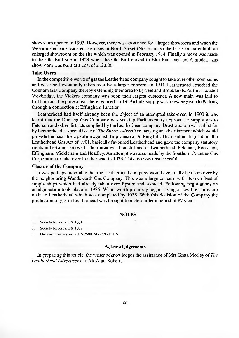showroom opened in 1903. However, there was soon need for a larger showroom and when the Westminster bank vacated premises in North Street (No. 3 today) the Gas Company built an enlarged showroom on the site which was opened in February 1914. Finally a move was made to the Old Bull site in 1929 when the Old Bull moved to Elm Bank nearby. A modem gas showroom was built at a cost of  $£12,000$ .

## **Take Overs**

In the competitive world of gas the Leatherhead company sought to take over other companies and was itself eventually taken over by a larger concern. In 1911 Leatherhead absorbed the Cobham Gas Company thereby extending their area to Byfleet and Brooklands. As this included Weybridge, the Vickers company was soon their largest customer. A new main was laid to Cobham and the price of gas there reduced. In 1929 a bulk supply was likewise given to Woking through a connection at Effingham Junction.

Leatherhead had itself already been the object of an attempted take-over. In 1900 it was learnt that the Dorking Gas Company was seeking Parliamentary approval to supply gas to Fetcham and other districts supplied by the Leatherhead company. Drastic action was called for by Leatherhead, a special issue of *The Surrey Advertiser* carrying an advertisement which would provide the basis for a petition against the projected Dorking bill. The resultant legislation, the Leatherhead Gas Act of 1901, basically favoured Leatherhead and gave the company statutory rights hitherto not enjoyed. Their area was then defined as Leatherhead, Fetcham, Bookham, Effingham, Mickleham and Headley. An attempt was also made by the Southern Counties Gas Corporation to take over Leatherhead in 1933. This too was unsuccessful.

### **Closure of the Company**

It was perhaps inevitable that the Leatherhead company would eventually be taken over by the neighbouring Wandsworth Gas Company. This was a large concern with its own fleet of supply ships which had already taken over Epsom and Ashtead. Following negotiations an amalgamation took place in 1936. Wandsworth promptly began laying a new high pressure main to Leatherhead which was completed by 1938. With this decision of the Company the production of gas in Leatherhead was brought to a close after a period of 87 years.

### **NOTES**

1. Society Records: LX 1084.

- 2. Society Records: LX 1082.
- 3. Ordnance Survey map: OS 2500. Sheet SVIII/15.

#### **Acknowledgements**

In preparing this article, the writer acknowledges the assistance of Mrs Greta Morley of *The Leatherhead Advertiser* and Mr Alun Roberts.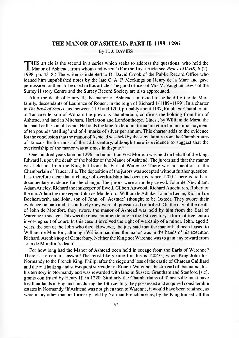## **THE MANOR OF ASHTEAD, PART II, 1189-1296** By H. J. DAVIES

**THIS** article is the second in a series which seeks to address the questions: who held the<br>Manor of Ashtead, from whom and when? (For the first article see *Procs LDLHS*, 6 (2),<br>1998, pp. 43–8.) The writer is indebted to HIS article is the second in a series which seeks to address the questions: who held the 1998, pp. 43–8.) The writer is indebted to Dr David Crook of the Public Record Office who loaned him unpublished notes by the late C. A. F. Meekings on Henry de la Mare and gave permission for them to be used in this article. The good offices of Mrs M. Vaughan Lewis of the Surrey History Centre and the Surrey Record Society are also appreciated.

After the death of Henry II, the manor of Ashtead continued to be held by the de Mara family, descendants of Laurence of Rouen, in the reign of Richard I (1189–1199). In a charter in *The Book o f Seals* dated between 1191 and 1200, probably about 1197, Ralph the Chamberlain of Tancarville, son of W illiam the previous chamberlain, confirms the holding from him of Ashtead, and land in Mitcham, Harlaxton and Londonthorpe, Lincs., by William de Mara, the husband or the son of Lecia.<sup>1</sup> He holds the land 'in feodum firma' in return for an initial payment of ten pounds 'stelling' and of 4 marks of silver per annum. This charter adds to the evidence for the conclusion that the manor of Ashtead was held by the same family from the Chamberlains of Tancarville for most of the 12th century, although there is evidence to suggest that the overlordship of the manor was at times in dispute.<sup>2</sup>

One hundred years later, in 1296, an Inquisition Post Mortem was held on behalf of the king, Edward I, upon the death of the holder of the Manor of Ashtead. The jurors said that the manor was held not from the King but from the Earl of Warenne.<sup>3</sup> There was no mention of the Chamberlain of Tancarville. The deposition of the jurors was accepted without further question. It is therefore clear that a change of overlordship had occurred since 1200. There is no hard documentary evidence for the change. The jurors were a motley crowd: John de Newnham, Adam Atteley, Richard the innkeeper of Ewell, Gilbert Attwood, Richard Attechurch, Robert of the inn, Adam the innkeeper, John de M aldeford, W illiam le Adlake, John le Leche, Richard de Bochesworth, and John, son of John, of 'Acstude' (thought to be Oxted). They swore their evidence on oath and it is unlikely they were all pressurised or bribed. On the day of the death of John de Montfort, they swore, the manor of Ashtead was held by him from the Earl of Warenne in socage. This was the most common tenure in the 13th century, a form of free tenure involving suit of court. In this case it involved the right of wardship of a minor, John, aged 5 years, the son of the John who died. However, the jury said that the manor had been leased to William de Montfort; although William had died the manor was in the hands of his executor, Richard, Archbishop of Canterbury. Neither the King nor Warenne was to gain any reward from John de Montfort's death!

For how long had the Manor of Ashtead been held in socage from the Earls of Warenne? There is no certain answer.<sup>4</sup> The most likely time for this is 1204/5, when King John lost Normandy to the French King, Philip, after the siege and loss of the castle of Chateau Gailliard and the outflanking and subsequent surrender of Rouen. Warenne, the 4th earl of that name, lost his territory in Normandy and was rewarded with land in Sussex, Grantham and Stanford [sic], grants confirmed by Henry III in 1220. Similarly the Chamberlains of Tancarville must have lost their lands in England and during the 13th century they possessed and acquired considerable estates in Normandy.<sup>5</sup> If Ashtead was not given then to Warenne, it would have been retained, as were many other manors formerly held by Norman French nobles, by the King himself. If the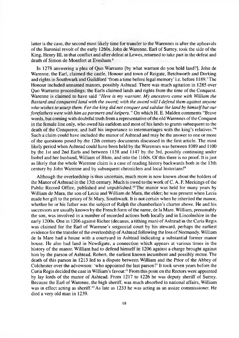latter is the case, the second most likely time for transfer to the Warennes is after the upheavals of the Baronial revolt of the early 1260s. John de Warenne, Earl of Surrey, took the side of the King, Henry III, in that conflict and after defeat at Lewes, returned to take part in the defeat and death of Simon de Montfort at Evesham.<sup>6</sup>

In 1278 answering a plea of Quo Warranto [by what warrant do you hold land?], John de Warenne, the Earl, claimed the castle, Honour and town of Reigate, Betchworth and Dorking and rights in Southwark and Guildford 'from a time before legal memory' i.e. before 1189.<sup>7</sup> The Honour included unnamed manors, possibly Ashtead. There was much agitation in 1285 over Quo Warranto proceedings; the Earls claimed lands and rights from the time of the Conquest. Warenne is claimed to have said "Here is my warrant. My ancestors came with William the *Bastard and conquered land with the sword; with the sword will I defend them against anyone* who wishes to usurp them. For the king did not conquer and subdue the land by himself but our *forefathers were with him as partners and helpers.* " On which H. E. Malden comments "Brave words, but coming with doubtful truth from a representative of the old Warennes of the Conquest in the female line only, who owed his earldom and most of his lands to grants subsequent to the death of the Conqueror, and half his importance to intermarriages with the king's relatives."<sup>8</sup> Such a claim could have included the manor of Ashtead and may be the answer to one or more of the questions posed by the 12th century documents discussed in the first article. The most likely period when Ashtead could have been held by the Warennes was between 1089 and 1100 by the 1st and 2nd Earls and between 1138 and 1147 by the 3rd, possibly continuing under Isobel and her husband, William of Blois, and into the 1160s. Of this there is no proof. It is just as likely that the whole Warenne claim is a case of reading history backwards both in the 13th century by John Warenne and by subsequent chroniclers and local historians!9

Although the overlordship is thus uncertain, much more is now known about the holders of the Manor of Ashtead in the 13th century. Much is owed to the work of  $C$ . A. F. Meekings of the Public Record Office, published and unpublished.<sup>10</sup> The manor was held for many years by William de Mara, the son of Lecia and William de Mara, the elder; he was present when Lecia made her gift to the priory of St Mary, Southwark. It is not certain when he inherited the manor, whether he or his father was the subject of Ralph the chamberlain's charter above. He and his successors are usually known by the French form of the name, de la Mare. William, presumably the son, was involved in a number of recorded actions both locally and in Lincolnshire in the early 1200s. One in 1206 against Richer (decanus, a tithing man) of Ashtead in the Curia Regis was claimed for the Earl of Warenne's seignorial court by his steward, perhaps the earliest evidence for the transfer of the overlordship of Ashtead following the loss of Normandy. William de la Mare had a house with a courtyard in Ashtead indicating a substantial former manor house. He also had land in Newdigate, a connection which appears at various times in the history of the manor. William had to defend himself in 1206 against a charge brought against him by the parson of Ashtead, Robert, the earliest known incumbent and possibly rector. The death of this parson in 1213 led to a dispute between William and the Prior of the Abbey of Colchester over the advowson: 'who appointed the last parson?' It took seven years before the Curia Regis decided the case in William's favour.<sup>11</sup> From this point on the Rectors were appointed by lay lords of the manor of Ashtead. From 1217 to 1226 he was deputy sheriff of Surrey. Because the Earl of Warenne, the high sheriff, was much absorbed in national affairs, William was in effect acting as sheriff.<sup>12</sup> As late as 1233 he was acting as an assize commissioner. He died a very old man in 1239.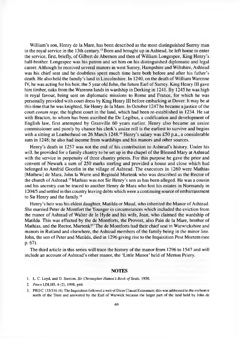William's son, Henry de la Mare, has been described as the most distinguished Surrey man in the royal service in the 13th century.13 Bom and brought up in Ashtead, he left home to enter the service, first, briefly, of Gilbert de Abernon and then of William Longespee, King Henry's half-brother. Longespee was his patron and set him on his distinguished diplomatic and legal career. Although he received several manors in west Surrey, Hampshire and Wiltshire, Ashtead was his chief seat and he doubtless spent much time here both before and after his father's death. He also held the family's land in Lincolnshire. In 1240, on the death of William Warenne IV, he was acting for his heir, the 5 year old John, the future Earl of Surrey. King Henry III gave him timber, oaks from the Warenne lands in wardship in Dorking in 1241. By 1245 he was high in royal favour, being sent on diplomatic missions to Rome and France, for which he was personally provided with court dress by King Henry III before embarking at Dover. It may be at this time that he was knighted, Sir Henry de la Mare. In October 1247 he became a justice of the court *coram rege,* the highest court in the land, which had been re-established in 1234. He sat with Bracton, to whom has been ascribed the De Legibus, a codification and development of English law, first attempted by Granville 60 years earlier. Henry also became an assize commissioner and purely by chance his clerk's assize roll is the earliest to survive and begins with a sitting at Leatherhead on 26 March  $1248<sup>14</sup>$  Henry's salary was £50 p.a., a considerable sum in 1248; he also had income from wardships and his manors and other sources.

Henry's death in 1257 was not the end of his contribution to Ashtead's history. Under his will, he provided for a family chantry to be set up in the chapel of the Blessed Mary at Ashtead with the service in perpetuity of three chantry priests. For this purpose he gave the prior and convent of Newark a sum of 250 marks sterling and provided a house and close which had belonged to Amfrid Gocelin in the village of Ashtead. The executors in 1260 were Mathias [Mathew] de Mara, John la Warre and Reginald Murtenk who was described as the Rector of the church of Ashtead.<sup>15</sup> Mathias was not Sir Henry's son as has been alleged. He was a cousin and his ancestry can be traced to another Henry de Mara who lost his estates in Normandy in 1204/5 and settled in this country leaving debts which were a continuing source of embarrassment to Sir Henry and the family.16

Henry's heir was his eldest daughter, Matilda or Maud, who inherited the Manor of Ashtead. She married Peter de Montfort the Younger in circumstances which included the eviction from the manor of Ashtead of Walter de le Hyde and his wife, Joan, who claimed the wardship of Matilda. This was effected by the de Montforts, the Provost, also Pain de la Mare, brother of Mathias, and the Rector, Murtenk!<sup>17</sup> The de Montforts had their chief seat in Warwickshire and manors in Rutland and elsewhere, the Ashtead members of the family being in the minor line. John, the son of Peter and Matilda, died in 1296 giving rise to the Inquisition Post Mortem (see p. 67).

The third article in this series will trace the history of the manor from 1296 to 1547 and will include an account of Ashtead's other manor, the 'Little Manor' held of Merton Priory.

### **NOTES**

- 1. L. C. Loyd, and D. Stenton, *Sir Christopher Hatton's Book of Seals,* 1950.
- 2. *Procs* LDLHS, 6 (2), 1998, p44.
- 3. PRO C 133/316 (4). The Inquisition followed a writ of Diem Clausit Extremum; this was addressed to the escheator north of the Trent and answered by the Earl of Warwick because the larger part of the land held by John de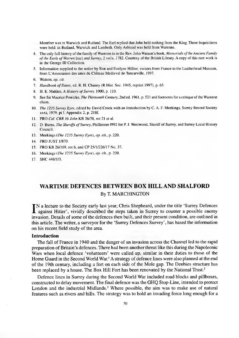Montfort was in Warwick and Rutland. The Earl replied that John held nothing from the King. Three Inquisitions were held: in Rutland, Warwick and Lambeth. Only Ashtead was held from Warenne.

- 4. The only full history of the family of Warenne is in the Rev. John Watson's book, *Memorials of the Ancient Family o f the Earls o f Warren* [sic] *and Surrey,* 2 vols, 1782. Courtesy of the British Library. A copy of this rare work is in the George III Collection.
- 5. Information supplied to the writer by Ron and Evelyne Hillier, visitors from France to the Leatherhead Museum, from L'Association des amis du Chateau Medieval de Tancarville, 1997.
- 6. Watson, *op. cit.*
- 7. *Handbook of Dates*, ed. R. H. Chaney (R. Hist. Soc. 1945, reprint 1997), p. 65.
- 8. H. E. Malden, *A History of Surrey*, 1900, p. 110.
- 9. See Sir Maurice Powicke, *The Thirteenth Century,* 2nd ed. 1961, p. 521 and footnotes for a critique of the Warenne claim.
- 10. *The 1235 Surrey Eyre,* edited by David Crook with an Introduction by C. A. F. Meekings, Surrey Record Society xxxi, 1979, pt I. Appendix 2, p. 218f.
- 11. PRO *Cal. CRR 16 John* KB 26/58, rot 21 et al.
- 12. D. Burns, *The Sheriffs of Surrey*, Phillimore 1992 for P. J. Westwood, Sheriff of Surrey, and Surrey Local History Council.
- 13. Meekings *(The 1235 Surrey Eyre), op. cit.,* p. 220.
- 14. PRO JUST 1/870.
- 15. PRO KB 26/169, rot 6, and CP 25/1/226/17 No. 37.
- 16. Meekings *(The 1235 Surrey Eyre), op. cit.,* p. 220.
- 17. SHC 448/1/3.

## **WARTIME DEFENCES BETWEEN BOX HILL AND SHALFORD**

## By T. MARCHINGTON

IN a lecture to the Society early last year, Chris Shepheard, under the title 'Surrey Defences' against Hitler', vividly described the steps taken in Surrey to counter a possible enemy invasion. Details of some of the defe N a lecture to the Society early last year, Chris Shepheard, under the title 'Surrey Defences invasion. Details of some of the defences then built, and their present condition, are outlined in this article. The writer, a surveyor for the 'Surrey Defences Survey', has based the information on his recent field study of the area.

### **Introduction**

The fall of France in 1940 and the danger of an invasion across the Channel led to the rapid preparation of Britain's defences. There had been another threat like this during the Napoleonic Wars when local defence 'volunteers' were called up, similar in their duties to those of the Home Guard in the Second World War.<sup>1</sup> A strategy of defence lines were also planned at the end of the 19th century, including a fort on each side of the Mole gap. The Denbies structure has been replaced by a house. The Box Hill Fort has been renovated by the National Trust.<sup>2</sup>

Defence lines in Surrey during the Second World War included road blocks and pillboxes, constructed to delay movement. The final defence was the GHQ Stop-Line, intended to protect London and the industrial Midlands.<sup>3</sup> Where possible, the aim was to make use of natural features such as rivers and hills. The strategy was to hold an invading force long enough for a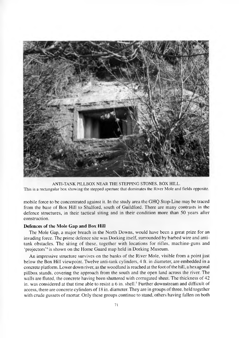

ANTI-TANK PILLBOX NEAR THE STEPPING STONES, BOX HILL. This is a rectangular box showing the stepped aperture that dominates the River Mole and fields opposite.

mobile force to be concentrated against it. In the study area the GHQ Stop-Line may be traced from the base of Box Hill to Shalford, south of Guildford. There are many contrasts in the defence structures, in their tactical siting and in their condition more than 50 years after construction.

## **Defences of the Mole Gap and Box Hill**

The Mole Gap, a major breach in the North Downs, would have been a great prize for an invading force. The prime defence site was Dorking itself, surrounded by barbed wire and antitank obstacles. The siting of these, together with locations for rifles, machine-guns and 'projectors'<sup>4</sup> is shown on the Home Guard map held in Dorking Museum.

An impressive structure survives on the banks of the River Mole, visible from a point just below the Box Hill viewpoint. Twelve anti-tank cylinders, 4 ft. in diameter, are embedded in a concrete platform. Lower down river, as the woodland is reached at the foot of the hill, a hexagonal pillbox stands, covering the approach from the south and the open land across the river. The walls are fluted, the concrete having been shuttered with corrugated sheet. The thickness of 42 in. was considered at that time able to resist a 6 in. shell.<sup>5</sup> Further downstream and difficult of access, there are concrete cylinders of 18 in. diameter. They are in groups of three, held together with crude gussets of mortar. Only these groups continue to stand, others having fallen on both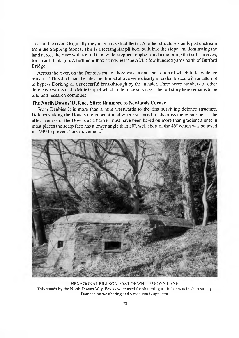sides of the river. Originally they may have straddled it. Another structure stands just upstream from the Stepping Stones. This is a rectangular pillbox, built into the slope and dominating the land across the river with a 6 ft. 10 in. wide, stepped loophole and a mounting that still survives, for an anti-tank gun. A further pillbox stands near the A24, a few hundred yards north of Burford Bridge.

Across the river, on the Denbies estate, there was an anti-tank ditch of which little evidence remains.<sup>6</sup> This ditch and the sites mentioned above were clearly intended to deal with an attempt to bypass Dorking or a successful breakthrough by the invader. There were numbers of other defensive works in the Mole Gap of which little trace survives. The full story here remains to be told and research continues.

## **The North Downs' Defence Sites: Ranmore to Newlands Corner**

From Denbies it is more than a mile westwards to the first surviving defence structure. Defences along the Downs are concentrated where surfaced roads cross the escarpment. The effectiveness of the Downs as a barrier must have been based on more than gradient alone; in most places the scarp face has a lower angle than  $30^{\circ}$ , well short of the 45° which was believed in 1940 to prevent tank movement.<sup>7</sup>



HEXAGONAL PILLBOX EAST OF WHITE DOWN LANE. This stands by the North Downs Way. Bricks were used for shuttering as timber was in short supply. Damage by weathering and vandalism is apparent.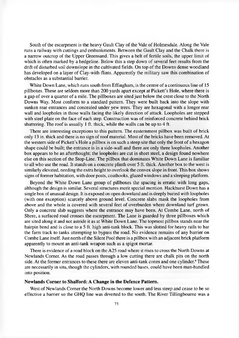South of the escarpment is the heavy Gault Clay of the Vale of Holmesdale. Along the Vale runs a railway with cuttings and embankments. Between the Gault Clay and the Chalk there is a narrow outcrop of the Upper Greensand. This gives a belt of fertile soils, the upper limit of which is often marked by a hedgeline. Below this a step down of several feet results from the drift of disturbed soil downslope in the cultivated fields. On top of the Downs dense woodland has developed on a layer of Clay-with-flints. Apparently the military saw this combination of obstacles as a substantial barrier.

White Down Lane, which runs south from Effingham, is the centre of a continuous line of 15 pillboxes. These are seldom more than 200 yards apart except at Pickett's Hole, where there is a gap of over a quarter of a mile. The pillboxes are sited just below the crest close to the North Downs Way. Most conform to a standard pattern. They were built back into the slope with sunken rear entrances and concealed under yew trees. They are hexagonal with a longer rear wall and loopholes in those walls facing the likely direction of attack. Loopholes are stepped with steel plate on the face of each step. Construction was of reinforced concrete behind brick shuttering. The roof is usually 1 ft. thick, while the walls can be up to 4 ft.

There are interesting exceptions to this pattern. The easternmost pillbox was built of brick only 13 in, thick and there is no sign of roof material. Most of the bricks have been removed. At the western side of Pickett's Hole a pillbox is on such a steep site that only the front of a hexagon shape could be built; the entrance is in a side-wall and there are only three loopholes. Another box appears to be an afterthought; the loopholes are cut in sheet steel, a design found nowhere else on this section of the Stop-Line. The pillbox that dominates White Down Lane is familiar to all who use the road. It stands on a concrete plinth over 5 ft. thick. Another box to the west is similarly elevated, needing the extra height to overlook the convex slope in front. This box shows signs of former habitation, with door posts, coathooks, glazed windows and a sleeping platform.

Beyond the White Down Lane group of pillboxes the spacing is erratic with long gaps, although the design is similar. Several structures merit special mention. Hackhurst Down has a single box of unusual design. It is exposed on open downland and is deeply buried with loopholes (with one exception) scarcely above ground level. Concrete slabs mask the loopholes from above and the whole is covered with several feet of overburden where downland turf grows. Only a concrete slab suggests where the entrance may have been. At Combe Lane, north of Shere, a surfaced road crosses the escarpment. The Lane is guarded by three pillboxes which are sited along it and not astride it as at W hite Down Lane. The topmost pillbox stands near the hairpin bend and is close to a 5 ft. high anti-tank block. This was slotted for heavy rails to bar the farm track to tanks attempting to bypass the road. No evidence remains of any barrier on Combe Lane itself. Just north of the Silent Pool there is a pillbox with an adjacent brick platform apparently to mount an anti-tank weapon such as a spigot mortar.

There is evidence of a road block on the A25 road where it rises to cross the North Downs at Newlands Comer. As the road passes through a low cutting there are chalk pits on the north side. At the former entrances to these there are eleven anti-tank cones and one cylinder.<sup>8</sup> These are necessarily in situ, though the cylinders, with rounded bases, could have been man-handled into position.

## **Newlands Corner to Shalford: A Change in the Defence Pattern.**

West of Newlands Corner the North Downs become lower and less steep and cease to be so effective a barrier so the GHQ line was diverted to the south. The River Tillingbourne was a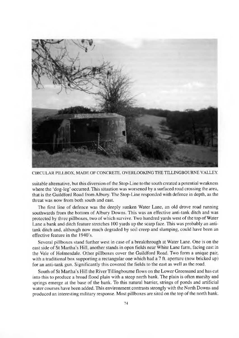

CIRCULAR PILLBOX, MADE OF CONCRETE, OVERLOOKING THE TILLINGBOURNE VALLEY.

suitable alternative, but this diversion of the Stop-Line to the south created a potential weakness where the 'dog-leg' occurred. This situation was worsened by a surfaced road crossing the area, that is the Guildford Road from Albury. The Stop-Line responded with defence in depth, as the threat was now from both south and east.

The first line of defence was the deeply sunken Water Lane, an old drove road running southwards from the bottom of Albury Downs. This was an effective anti-tank ditch and was protected by three pillboxes, two of which survive. Two hundred yards west of the top of Water Lane a bank and ditch feature stretches 100 yards up the scarp face. This was probably an antitank ditch and, although now much degraded by soil creep and slumping, could have been an effective feature in the 1940's.

Several pillboxes stand further west in case of a breakthrough at Water Lane. One is on the east side of St Martha's Hill, another stands in open fields near White Lane farm, facing east in the Vale of Holmesdale. Other pillboxes cover the Guildford Road. Two form a unique pair, with a traditional box supporting a rectangular one which had a 7 ft. aperture (now bricked up) for an anti-tank gun. Significantly this covered the fields to the east as well as the road.

South of St Martha's Hill the River Tillingbourne flows on the Lower Greensand and has cut into this to produce a broad flood plain with a steep north bank. The plain is often marshy and springs emerge at the base of the bank. To this natural barrier, strings of ponds and artificial w ater courses have been added. This environment contrasts strongly with the North Downs and produced an interesting military response. Most pillboxes are sited on the top of the north bank.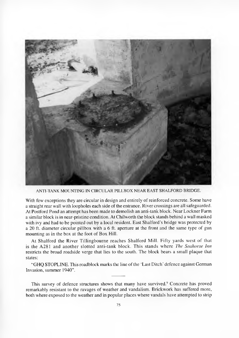

ANTI-TANK MOUNTING IN CIRCULAR PILLBOX NEAR EAST SHALFORD BRIDGE.

With few exceptions they are circular in design and entirely of reinforced concrete. Some have a straight rear wall with loopholes each side of the entrance. River crossings are all safeguarded. At Postford Pond an attempt has been made to demolish an anti-tank block. Near Lockner Farm a similar block is in near-pristine condition. At Chilworth the block stands behind a wall masked with ivy and had to be pointed out by a local resident. East Shalford's bridge was protected by a 20 ft. diameter circular pillbox with a 6 ft. aperture at the front and the same type of gun mounting as in the box at the foot of Box Hill.

At Shalford the River Tillingbourne reaches Shalford Mill. Fifty yards west of that is the A 281 and another slotted anti-tank block. This stands where *The Seahorse Inn* restricts the broad roadside verge that lies to the south. The block bears a small plaque that states:

"GHO STOPLINE. This roadblock marks the line of the 'Last Ditch' defence against German Invasion, summer 1940".

This survey of defence structures shows that many have survived.<sup>9</sup> Concrete has proved remarkably resistant to the ravages of weather and vandalism. Brickwork has suffered more, both where exposed to the weather and in popular places where vandals have attempted to strip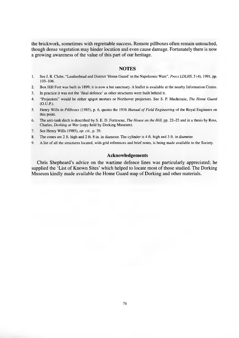the brickwork, sometimes with regrettable success. Remote pillboxes often remain untouched, though dense vegetation may hinder location and even cause damage. Fortunately there is now a growing awareness of the value of this part of our heritage.

## **NOTES**

- 1. See J. R. Clube, "Leatherhead and District 'Home Guard' in the Napoleonic Wars", *Procs LDLHS*, 5 (4), 1991, pp. 103-106.
- 2. Box Hill Fort was built in 1899; it is now a bat sanctuary. A leaflet is available at the nearby Information Centre.
- 3. In practice it was not the 'final defence' as other structures were built behind it.
- 4. "Projectors" would be either spigot mortars or Northover projectors. See S. P. Mackenzie, *The Home Guard* (O.U.P.).
- 5. Henry Wills in *Pillboxes* (1985), p. 6, quotes the 1936 *Manual of Field Engineering* of the Royal Engineers on this point.
- 6. The anti-tank ditch is described by S. E. D. Fortescue, *The House on the Hill,* pp. 22-23 and in a thesis by Ross, Charles, *Dorking at War* (copy held by Dorking Museum).
- 7. See Henry W ills (1985), *op. cit.,* p. 39.
- 8. The cones are 2 ft. high and 2 ft. 8 in. in diameter. The cylinder is 4 ft. high and 3 ft. in diameter.
- 9. A list of all the structures located, with grid references and brief notes, is being made available to the Society.

## **Acknowledgements**

Chris Shepheard's advice on the wartime defence lines was particularly appreciated; he supplied the 'List of Known Sites' which helped to locate most of those studied. The Dorking Museum kindly made available the Home Guard map of Dorking and other materials.